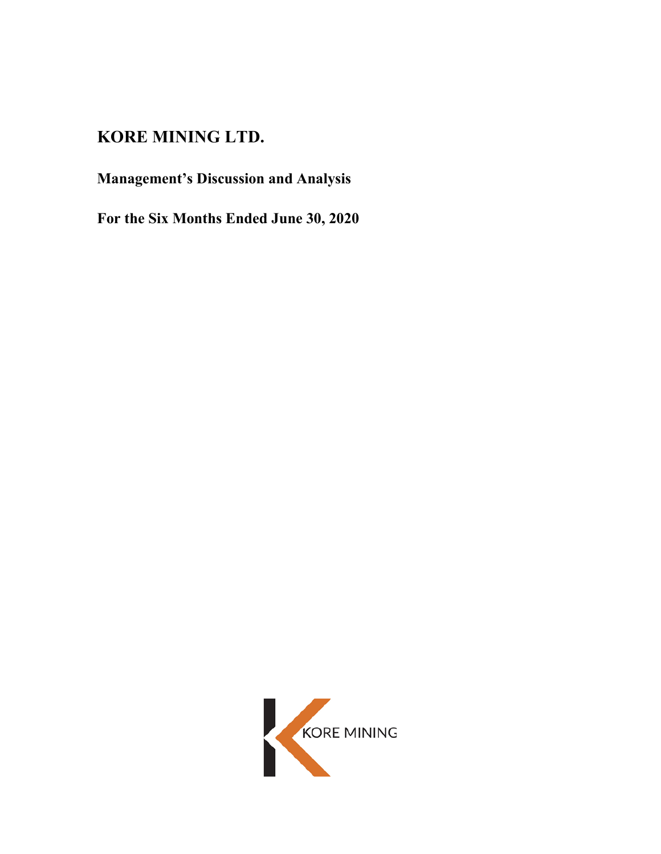# **KORE MINING LTD.**

# **Management's Discussion and Analysis**

**For the Six Months Ended June 30, 2020**

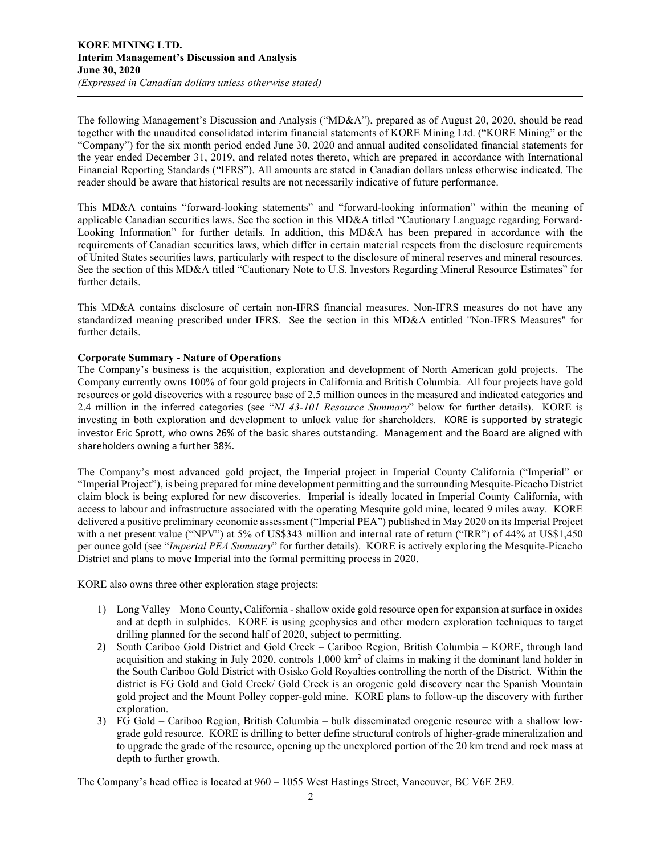The following Management's Discussion and Analysis ("MD&A"), prepared as of August 20, 2020, should be read together with the unaudited consolidated interim financial statements of KORE Mining Ltd. ("KORE Mining" or the "Company") for the six month period ended June 30, 2020 and annual audited consolidated financial statements for the year ended December 31, 2019, and related notes thereto, which are prepared in accordance with International Financial Reporting Standards ("IFRS"). All amounts are stated in Canadian dollars unless otherwise indicated. The reader should be aware that historical results are not necessarily indicative of future performance.

This MD&A contains "forward-looking statements" and "forward-looking information" within the meaning of applicable Canadian securities laws. See the section in this MD&A titled "Cautionary Language regarding Forward-Looking Information" for further details. In addition, this MD&A has been prepared in accordance with the requirements of Canadian securities laws, which differ in certain material respects from the disclosure requirements of United States securities laws, particularly with respect to the disclosure of mineral reserves and mineral resources. See the section of this MD&A titled "Cautionary Note to U.S. Investors Regarding Mineral Resource Estimates" for further details.

This MD&A contains disclosure of certain non-IFRS financial measures. Non-IFRS measures do not have any standardized meaning prescribed under IFRS. See the section in this MD&A entitled "Non-IFRS Measures" for further details.

# **Corporate Summary - Nature of Operations**

The Company's business is the acquisition, exploration and development of North American gold projects. The Company currently owns 100% of four gold projects in California and British Columbia. All four projects have gold resources or gold discoveries with a resource base of 2.5 million ounces in the measured and indicated categories and 2.4 million in the inferred categories (see "*NI 43-101 Resource Summary*" below for further details). KORE is investing in both exploration and development to unlock value for shareholders. KORE is supported by strategic investor Eric Sprott, who owns 26% of the basic shares outstanding. Management and the Board are aligned with shareholders owning a further 38%.

The Company's most advanced gold project, the Imperial project in Imperial County California ("Imperial" or "Imperial Project"), is being prepared for mine development permitting and the surrounding Mesquite-Picacho District claim block is being explored for new discoveries. Imperial is ideally located in Imperial County California, with access to labour and infrastructure associated with the operating Mesquite gold mine, located 9 miles away. KORE delivered a positive preliminary economic assessment ("Imperial PEA") published in May 2020 on its Imperial Project with a net present value ("NPV") at 5% of US\$343 million and internal rate of return ("IRR") of 44% at US\$1,450 per ounce gold (see "*Imperial PEA Summary*" for further details). KORE is actively exploring the Mesquite-Picacho District and plans to move Imperial into the formal permitting process in 2020.

KORE also owns three other exploration stage projects:

- 1) Long Valley Mono County, California shallow oxide gold resource open for expansion at surface in oxides and at depth in sulphides. KORE is using geophysics and other modern exploration techniques to target drilling planned for the second half of 2020, subject to permitting.
- 2) South Cariboo Gold District and Gold Creek Cariboo Region, British Columbia KORE, through land acquisition and staking in July 2020, controls  $1,000 \text{ km}^2$  of claims in making it the dominant land holder in the South Cariboo Gold District with Osisko Gold Royalties controlling the north of the District. Within the district is FG Gold and Gold Creek/ Gold Creek is an orogenic gold discovery near the Spanish Mountain gold project and the Mount Polley copper-gold mine. KORE plans to follow-up the discovery with further exploration.
- 3) FG Gold Cariboo Region, British Columbia bulk disseminated orogenic resource with a shallow lowgrade gold resource. KORE is drilling to better define structural controls of higher-grade mineralization and to upgrade the grade of the resource, opening up the unexplored portion of the 20 km trend and rock mass at depth to further growth.

The Company's head office is located at 960 – 1055 West Hastings Street, Vancouver, BC V6E 2E9.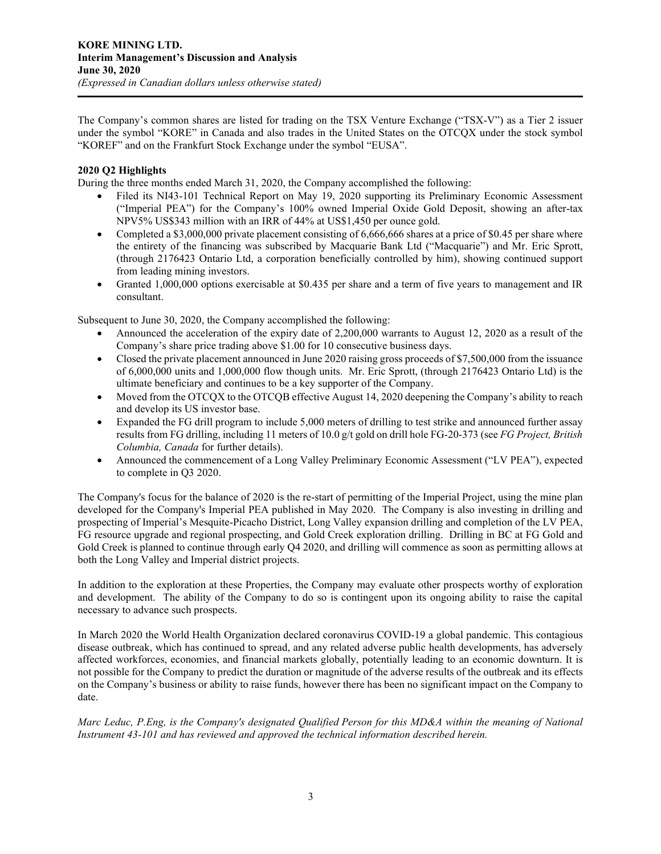The Company's common shares are listed for trading on the TSX Venture Exchange ("TSX-V") as a Tier 2 issuer under the symbol "KORE" in Canada and also trades in the United States on the OTCQX under the stock symbol "KOREF" and on the Frankfurt Stock Exchange under the symbol "EUSA".

# **2020 Q2 Highlights**

During the three months ended March 31, 2020, the Company accomplished the following:

- Filed its NI43-101 Technical Report on May 19, 2020 supporting its Preliminary Economic Assessment ("Imperial PEA") for the Company's 100% owned Imperial Oxide Gold Deposit, showing an after-tax NPV5% US\$343 million with an IRR of 44% at US\$1,450 per ounce gold.
- Completed a \$3,000,000 private placement consisting of 6,666,666 shares at a price of \$0.45 per share where the entirety of the financing was subscribed by Macquarie Bank Ltd ("Macquarie") and Mr. Eric Sprott, (through 2176423 Ontario Ltd, a corporation beneficially controlled by him), showing continued support from leading mining investors.
- Granted 1,000,000 options exercisable at \$0.435 per share and a term of five years to management and IR consultant.

Subsequent to June 30, 2020, the Company accomplished the following:

- Announced the acceleration of the expiry date of 2,200,000 warrants to August 12, 2020 as a result of the Company's share price trading above \$1.00 for 10 consecutive business days.
- Closed the private placement announced in June 2020 raising gross proceeds of \$7,500,000 from the issuance of 6,000,000 units and 1,000,000 flow though units. Mr. Eric Sprott, (through 2176423 Ontario Ltd) is the ultimate beneficiary and continues to be a key supporter of the Company.
- Moved from the OTCQX to the OTCQB effective August 14, 2020 deepening the Company's ability to reach and develop its US investor base.
- Expanded the FG drill program to include 5,000 meters of drilling to test strike and announced further assay results from FG drilling, including 11 meters of 10.0 g/t gold on drill hole FG-20-373 (see *FG Project, British Columbia, Canada* for further details).
- Announced the commencement of a Long Valley Preliminary Economic Assessment ("LV PEA"), expected to complete in Q3 2020.

The Company's focus for the balance of 2020 is the re-start of permitting of the Imperial Project, using the mine plan developed for the Company's Imperial PEA published in May 2020. The Company is also investing in drilling and prospecting of Imperial's Mesquite-Picacho District, Long Valley expansion drilling and completion of the LV PEA, FG resource upgrade and regional prospecting, and Gold Creek exploration drilling. Drilling in BC at FG Gold and Gold Creek is planned to continue through early Q4 2020, and drilling will commence as soon as permitting allows at both the Long Valley and Imperial district projects.

In addition to the exploration at these Properties, the Company may evaluate other prospects worthy of exploration and development. The ability of the Company to do so is contingent upon its ongoing ability to raise the capital necessary to advance such prospects.

In March 2020 the World Health Organization declared coronavirus COVID-19 a global pandemic. This contagious disease outbreak, which has continued to spread, and any related adverse public health developments, has adversely affected workforces, economies, and financial markets globally, potentially leading to an economic downturn. It is not possible for the Company to predict the duration or magnitude of the adverse results of the outbreak and its effects on the Company's business or ability to raise funds, however there has been no significant impact on the Company to date.

*Marc Leduc, P.Eng, is the Company's designated Qualified Person for this MD&A within the meaning of National Instrument 43-101 and has reviewed and approved the technical information described herein.*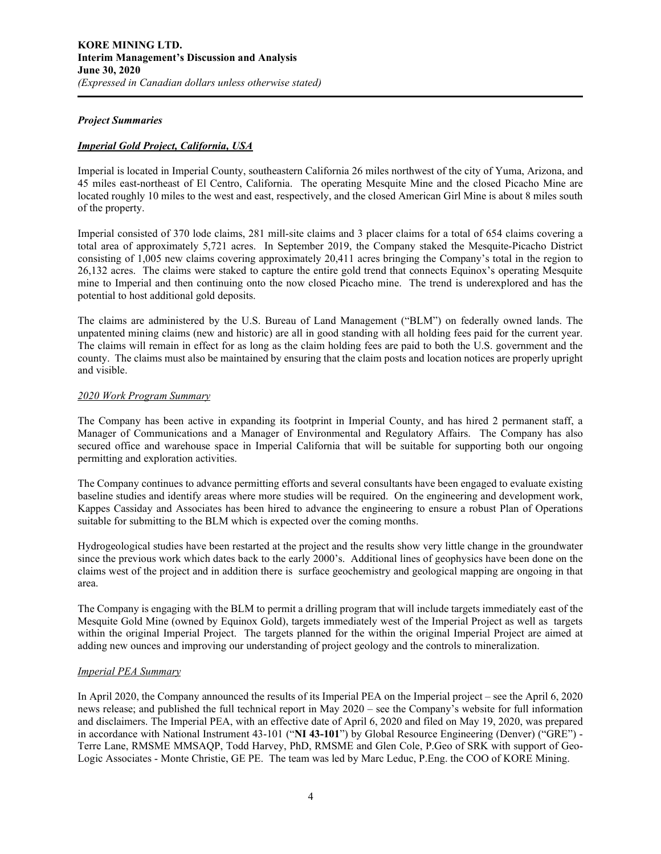#### *Project Summaries*

# *Imperial Gold Project, California, USA*

Imperial is located in Imperial County, southeastern California 26 miles northwest of the city of Yuma, Arizona, and 45 miles east-northeast of El Centro, California. The operating Mesquite Mine and the closed Picacho Mine are located roughly 10 miles to the west and east, respectively, and the closed American Girl Mine is about 8 miles south of the property.

Imperial consisted of 370 lode claims, 281 mill-site claims and 3 placer claims for a total of 654 claims covering a total area of approximately 5,721 acres. In September 2019, the Company staked the Mesquite-Picacho District consisting of 1,005 new claims covering approximately 20,411 acres bringing the Company's total in the region to 26,132 acres. The claims were staked to capture the entire gold trend that connects Equinox's operating Mesquite mine to Imperial and then continuing onto the now closed Picacho mine. The trend is underexplored and has the potential to host additional gold deposits.

The claims are administered by the U.S. Bureau of Land Management ("BLM") on federally owned lands. The unpatented mining claims (new and historic) are all in good standing with all holding fees paid for the current year. The claims will remain in effect for as long as the claim holding fees are paid to both the U.S. government and the county. The claims must also be maintained by ensuring that the claim posts and location notices are properly upright and visible.

## *2020 Work Program Summary*

The Company has been active in expanding its footprint in Imperial County, and has hired 2 permanent staff, a Manager of Communications and a Manager of Environmental and Regulatory Affairs. The Company has also secured office and warehouse space in Imperial California that will be suitable for supporting both our ongoing permitting and exploration activities.

The Company continues to advance permitting efforts and several consultants have been engaged to evaluate existing baseline studies and identify areas where more studies will be required. On the engineering and development work, Kappes Cassiday and Associates has been hired to advance the engineering to ensure a robust Plan of Operations suitable for submitting to the BLM which is expected over the coming months.

Hydrogeological studies have been restarted at the project and the results show very little change in the groundwater since the previous work which dates back to the early 2000's. Additional lines of geophysics have been done on the claims west of the project and in addition there is surface geochemistry and geological mapping are ongoing in that area.

The Company is engaging with the BLM to permit a drilling program that will include targets immediately east of the Mesquite Gold Mine (owned by Equinox Gold), targets immediately west of the Imperial Project as well as targets within the original Imperial Project. The targets planned for the within the original Imperial Project are aimed at adding new ounces and improving our understanding of project geology and the controls to mineralization.

# *Imperial PEA Summary*

In April 2020, the Company announced the results of its Imperial PEA on the Imperial project – see the April 6, 2020 news release; and published the full technical report in May 2020 – see the Company's website for full information and disclaimers. The Imperial PEA, with an effective date of April 6, 2020 and filed on May 19, 2020, was prepared in accordance with National Instrument 43-101 ("**NI 43-101**") by Global Resource Engineering (Denver) ("GRE") - Terre Lane, RMSME MMSAQP, Todd Harvey, PhD, RMSME and Glen Cole, P.Geo of SRK with support of Geo-Logic Associates - Monte Christie, GE PE. The team was led by Marc Leduc, P.Eng. the COO of KORE Mining.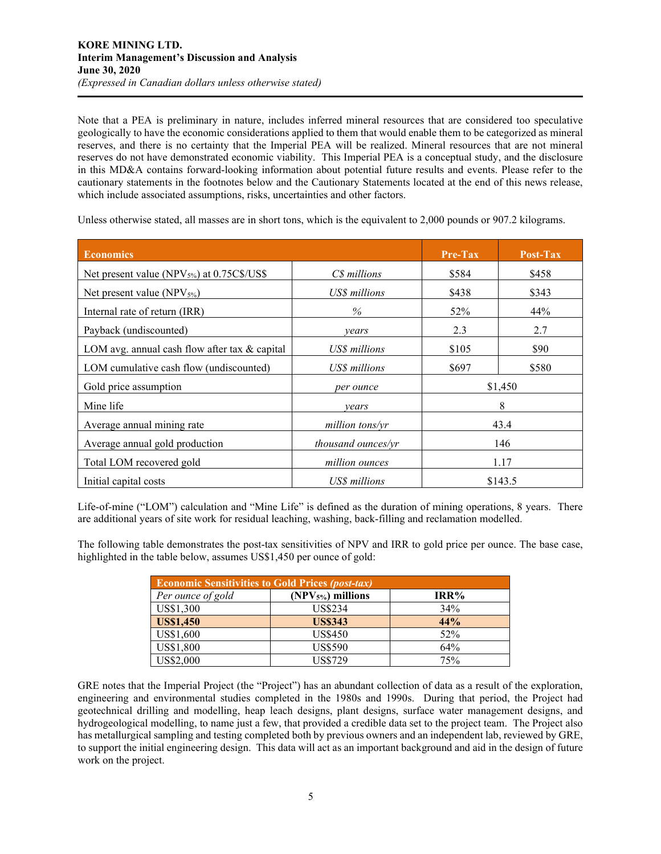Note that a PEA is preliminary in nature, includes inferred mineral resources that are considered too speculative geologically to have the economic considerations applied to them that would enable them to be categorized as mineral reserves, and there is no certainty that the Imperial PEA will be realized. Mineral resources that are not mineral reserves do not have demonstrated economic viability. This Imperial PEA is a conceptual study, and the disclosure in this MD&A contains forward-looking information about potential future results and events. Please refer to the cautionary statements in the footnotes below and the Cautionary Statements located at the end of this news release, which include associated assumptions, risks, uncertainties and other factors.

Unless otherwise stated, all masses are in short tons, which is the equivalent to 2,000 pounds or 907.2 kilograms.

| <b>Economics</b>                                       |                    | Pre-Tax        | Post-Tax |
|--------------------------------------------------------|--------------------|----------------|----------|
| Net present value (NPV <sub>5%</sub> ) at 0.75C\$/US\$ | C\$ millions       | \$584<br>\$458 |          |
| Net present value (NPV $_{5\%}$ )                      | US\$ millions      | \$438          | \$343    |
| Internal rate of return (IRR)                          | $\%$               | 44%<br>52%     |          |
| Payback (undiscounted)                                 | vears              | 2.3<br>2.7     |          |
| LOM avg. annual cash flow after tax & capital          | US\$ millions      | \$105          | \$90     |
| LOM cumulative cash flow (undiscounted)                | US\$ millions      | \$697          | \$580    |
| Gold price assumption                                  | per ounce          |                | \$1,450  |
| Mine life                                              | years              | 8              |          |
| Average annual mining rate                             | million tons/yr    | 43.4           |          |
| Average annual gold production                         | thousand ounces/yr | 146            |          |
| Total LOM recovered gold                               | million ounces     | 1.17           |          |
| Initial capital costs                                  | US\$ millions      | \$143.5        |          |

Life-of-mine ("LOM") calculation and "Mine Life" is defined as the duration of mining operations, 8 years. There are additional years of site work for residual leaching, washing, back-filling and reclamation modelled.

The following table demonstrates the post-tax sensitivities of NPV and IRR to gold price per ounce. The base case, highlighted in the table below, assumes US\$1,450 per ounce of gold:

| <b>Economic Sensitivities to Gold Prices (post-tax)</b> |                    |      |  |  |  |
|---------------------------------------------------------|--------------------|------|--|--|--|
| Per ounce of gold                                       | $(NPV5%)$ millions | IRR% |  |  |  |
| US\$1,300                                               | US\$234            | 34%  |  |  |  |
| <b>US\$1,450</b>                                        | <b>US\$343</b>     | 44%  |  |  |  |
| US\$1,600                                               | <b>US\$450</b>     | 52%  |  |  |  |
| US\$1,800                                               | <b>US\$590</b>     | 64%  |  |  |  |
| US\$2,000                                               | <b>US\$729</b>     | 75%  |  |  |  |

GRE notes that the Imperial Project (the "Project") has an abundant collection of data as a result of the exploration, engineering and environmental studies completed in the 1980s and 1990s. During that period, the Project had geotechnical drilling and modelling, heap leach designs, plant designs, surface water management designs, and hydrogeological modelling, to name just a few, that provided a credible data set to the project team. The Project also has metallurgical sampling and testing completed both by previous owners and an independent lab, reviewed by GRE, to support the initial engineering design. This data will act as an important background and aid in the design of future work on the project.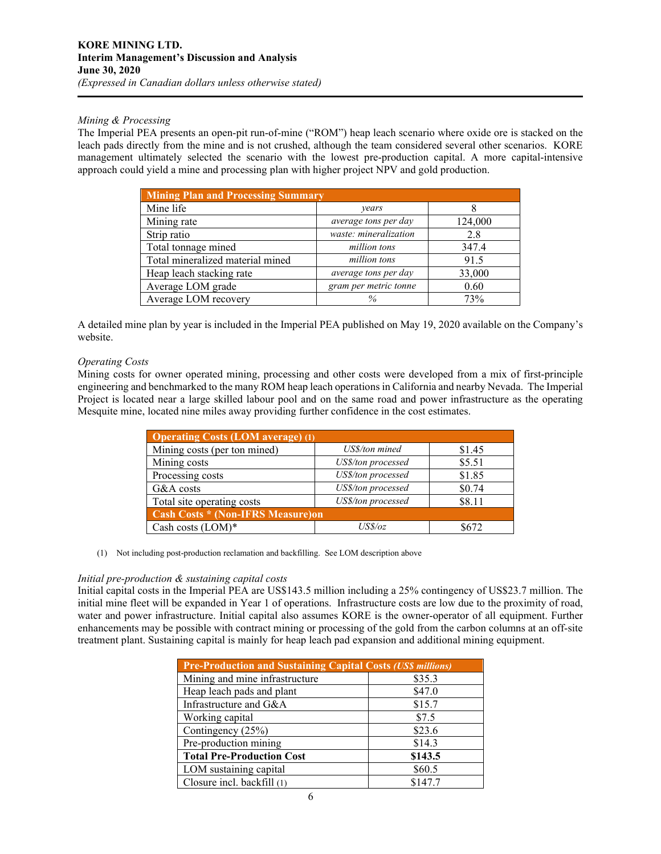# *Mining & Processing*

The Imperial PEA presents an open-pit run-of-mine ("ROM") heap leach scenario where oxide ore is stacked on the leach pads directly from the mine and is not crushed, although the team considered several other scenarios. KORE management ultimately selected the scenario with the lowest pre-production capital. A more capital-intensive approach could yield a mine and processing plan with higher project NPV and gold production.

| <b>Mining Plan and Processing Summary</b> |                       |         |  |  |  |
|-------------------------------------------|-----------------------|---------|--|--|--|
| Mine life                                 | years                 |         |  |  |  |
| Mining rate                               | average tons per day  | 124,000 |  |  |  |
| Strip ratio                               | waste: mineralization | 2.8     |  |  |  |
| Total tonnage mined                       | million tons          | 347.4   |  |  |  |
| Total mineralized material mined          | million tons          | 91.5    |  |  |  |
| Heap leach stacking rate                  | average tons per day  | 33,000  |  |  |  |
| Average LOM grade                         | gram per metric tonne | 0.60    |  |  |  |
| Average LOM recovery                      | %                     | 73%     |  |  |  |

A detailed mine plan by year is included in the Imperial PEA published on May 19, 2020 available on the Company's website.

## *Operating Costs*

Mining costs for owner operated mining, processing and other costs were developed from a mix of first-principle engineering and benchmarked to the many ROM heap leach operations in California and nearby Nevada. The Imperial Project is located near a large skilled labour pool and on the same road and power infrastructure as the operating Mesquite mine, located nine miles away providing further confidence in the cost estimates.

| <b>Operating Costs (LOM average) (1)</b> |                    |        |  |  |  |
|------------------------------------------|--------------------|--------|--|--|--|
| Mining costs (per ton mined)             | US\$/ton mined     | \$1.45 |  |  |  |
| Mining costs                             | US\$/ton processed | \$5.51 |  |  |  |
| Processing costs                         | US\$/ton processed | \$1.85 |  |  |  |
| G&A costs                                | US\$/ton processed | \$0.74 |  |  |  |
| Total site operating costs               | US\$/ton processed | \$8.11 |  |  |  |
| <b>Cash Costs * (Non-IFRS Measure)on</b> |                    |        |  |  |  |
| Cash costs $(LOM)*$                      | USS/oz             | 8672   |  |  |  |

#### (1) Not including post-production reclamation and backfilling. See LOM description above

#### *Initial pre-production & sustaining capital costs*

Initial capital costs in the Imperial PEA are US\$143.5 million including a 25% contingency of US\$23.7 million. The initial mine fleet will be expanded in Year 1 of operations. Infrastructure costs are low due to the proximity of road, water and power infrastructure. Initial capital also assumes KORE is the owner-operator of all equipment. Further enhancements may be possible with contract mining or processing of the gold from the carbon columns at an off-site treatment plant. Sustaining capital is mainly for heap leach pad expansion and additional mining equipment.

| <b>Pre-Production and Sustaining Capital Costs (USS millions)</b> |         |  |  |  |
|-------------------------------------------------------------------|---------|--|--|--|
| Mining and mine infrastructure                                    | \$35.3  |  |  |  |
| Heap leach pads and plant                                         | \$47.0  |  |  |  |
| Infrastructure and G&A                                            | \$15.7  |  |  |  |
| Working capital                                                   | \$7.5   |  |  |  |
| Contingency (25%)                                                 | \$23.6  |  |  |  |
| Pre-production mining                                             | \$14.3  |  |  |  |
| <b>Total Pre-Production Cost</b>                                  | \$143.5 |  |  |  |
| LOM sustaining capital                                            | \$60.5  |  |  |  |
| Closure incl. backfill (1)                                        | \$147.7 |  |  |  |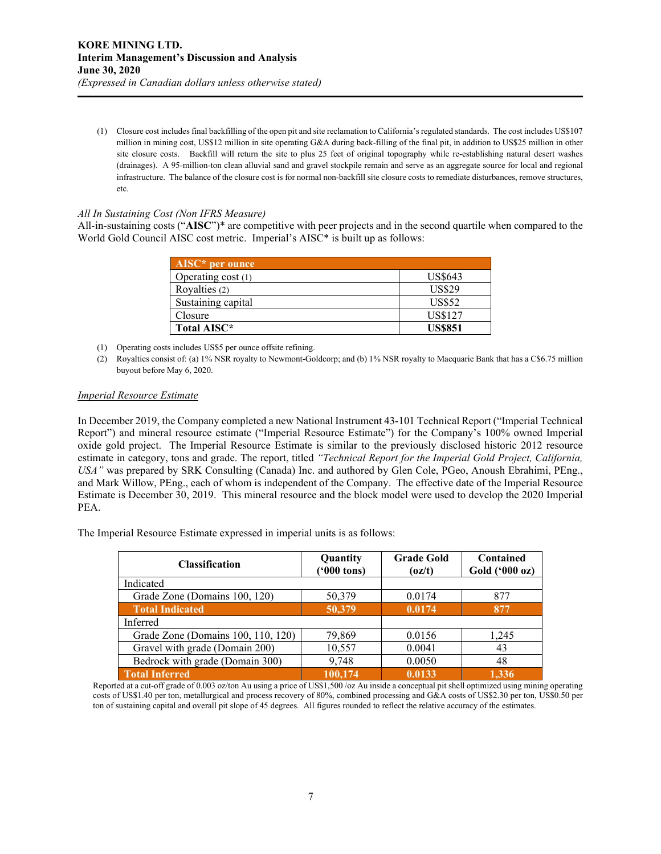(1) Closure cost includes final backfilling of the open pit and site reclamation to California's regulated standards. The cost includes US\$107 million in mining cost, US\$12 million in site operating G&A during back-filling of the final pit, in addition to US\$25 million in other site closure costs. Backfill will return the site to plus 25 feet of original topography while re-establishing natural desert washes (drainages). A 95-million-ton clean alluvial sand and gravel stockpile remain and serve as an aggregate source for local and regional infrastructure. The balance of the closure cost is for normal non-backfill site closure costs to remediate disturbances, remove structures, etc.

## *All In Sustaining Cost (Non IFRS Measure)*

All-in-sustaining costs ("**AISC**")\* are competitive with peer projects and in the second quartile when compared to the World Gold Council AISC cost metric. Imperial's AISC\* is built up as follows:

| $AISC*$ per ounce  |                |
|--------------------|----------------|
| Operating cost (1) | US\$643        |
| Royalties (2)      | <b>US\$29</b>  |
| Sustaining capital | <b>US\$52</b>  |
| Closure            | US\$127        |
| Total AISC*        | <b>US\$851</b> |

- (1) Operating costs includes US\$5 per ounce offsite refining.
- (2) Royalties consist of: (a) 1% NSR royalty to Newmont-Goldcorp; and (b) 1% NSR royalty to Macquarie Bank that has a C\$6.75 million buyout before May 6, 2020.

#### *Imperial Resource Estimate*

In December 2019, the Company completed a new National Instrument 43-101 Technical Report ("Imperial Technical Report") and mineral resource estimate ("Imperial Resource Estimate") for the Company's 100% owned Imperial oxide gold project. The Imperial Resource Estimate is similar to the previously disclosed historic 2012 resource estimate in category, tons and grade. The report, titled *"Technical Report for the Imperial Gold Project, California, USA"* was prepared by SRK Consulting (Canada) Inc. and authored by Glen Cole, PGeo, Anoush Ebrahimi, PEng., and Mark Willow, PEng., each of whom is independent of the Company. The effective date of the Imperial Resource Estimate is December 30, 2019. This mineral resource and the block model were used to develop the 2020 Imperial PEA.

The Imperial Resource Estimate expressed in imperial units is as follows:

| <b>Classification</b>              | Quantity<br>$(900 \text{ tons})$ | <b>Grade Gold</b><br>(oz/t) | Contained<br>Gold (000 oz) |
|------------------------------------|----------------------------------|-----------------------------|----------------------------|
| Indicated                          |                                  |                             |                            |
| Grade Zone (Domains 100, 120)      | 50,379                           | 0.0174                      | 877                        |
| <b>Total Indicated</b>             | 50,379                           | 0.0174                      | 877                        |
| Inferred                           |                                  |                             |                            |
| Grade Zone (Domains 100, 110, 120) | 79,869                           | 0.0156                      | 1,245                      |
| Gravel with grade (Domain 200)     | 10,557                           | 0.0041                      | 43                         |
| Bedrock with grade (Domain 300)    | 9,748                            | 0.0050                      | 48                         |
| <b>Total Inferred</b>              | 100.174                          | 0.0133                      | 1.336                      |

Reported at a cut-off grade of 0.003 oz/ton Au using a price of US\$1,500 /oz Au inside a conceptual pit shell optimized using mining operating costs of US\$1.40 per ton, metallurgical and process recovery of 80%, combined processing and G&A costs of US\$2.30 per ton, US\$0.50 per ton of sustaining capital and overall pit slope of 45 degrees. All figures rounded to reflect the relative accuracy of the estimates.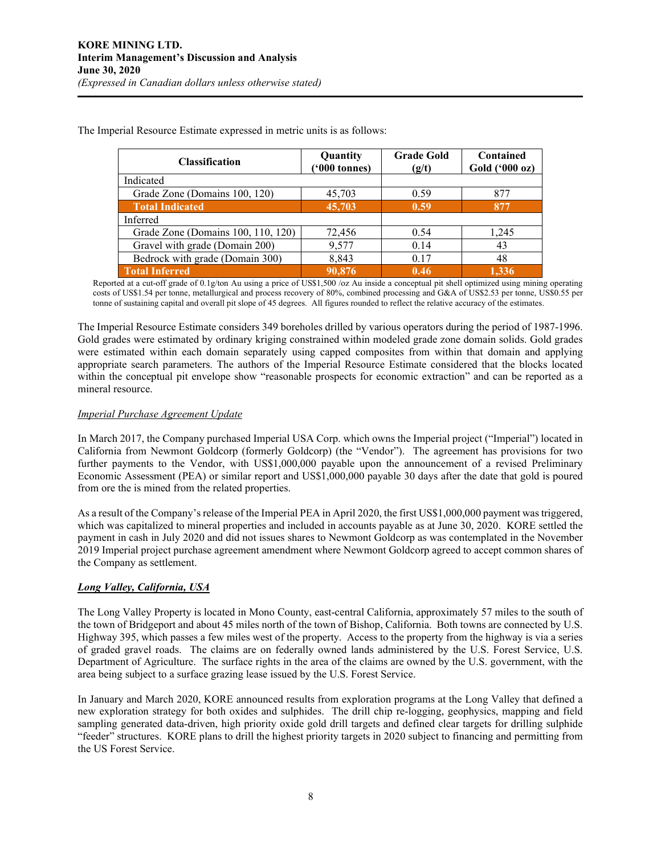| <b>Classification</b>              | Quantity<br>$(900 \text{ tonnes})$ | <b>Grade Gold</b><br>(g/t) | Contained<br>Gold ('000 oz) |
|------------------------------------|------------------------------------|----------------------------|-----------------------------|
| Indicated                          |                                    |                            |                             |
| Grade Zone (Domains 100, 120)      | 45,703                             | 0.59                       | 877                         |
| <b>Total Indicated</b>             | 45,703                             | 0.59                       | 877                         |
| Inferred                           |                                    |                            |                             |
| Grade Zone (Domains 100, 110, 120) | 72,456                             | 0.54                       | 1,245                       |
| Gravel with grade (Domain 200)     | 9,577                              | 0.14                       | 43                          |
| Bedrock with grade (Domain 300)    | 8,843                              | 0.17                       | 48                          |
| <b>Total Inferred</b>              | 90,876                             | 0.46                       | 1.336                       |

The Imperial Resource Estimate expressed in metric units is as follows:

Reported at a cut-off grade of 0.1g/ton Au using a price of US\$1,500 /oz Au inside a conceptual pit shell optimized using mining operating costs of US\$1.54 per tonne, metallurgical and process recovery of 80%, combined processing and G&A of US\$2.53 per tonne, US\$0.55 per tonne of sustaining capital and overall pit slope of 45 degrees. All figures rounded to reflect the relative accuracy of the estimates.

The Imperial Resource Estimate considers 349 boreholes drilled by various operators during the period of 1987-1996. Gold grades were estimated by ordinary kriging constrained within modeled grade zone domain solids. Gold grades were estimated within each domain separately using capped composites from within that domain and applying appropriate search parameters. The authors of the Imperial Resource Estimate considered that the blocks located within the conceptual pit envelope show "reasonable prospects for economic extraction" and can be reported as a mineral resource.

## *Imperial Purchase Agreement Update*

In March 2017, the Company purchased Imperial USA Corp. which owns the Imperial project ("Imperial") located in California from Newmont Goldcorp (formerly Goldcorp) (the "Vendor"). The agreement has provisions for two further payments to the Vendor, with US\$1,000,000 payable upon the announcement of a revised Preliminary Economic Assessment (PEA) or similar report and US\$1,000,000 payable 30 days after the date that gold is poured from ore the is mined from the related properties.

As a result of the Company's release of the Imperial PEA in April 2020, the first US\$1,000,000 payment was triggered, which was capitalized to mineral properties and included in accounts payable as at June 30, 2020. KORE settled the payment in cash in July 2020 and did not issues shares to Newmont Goldcorp as was contemplated in the November 2019 Imperial project purchase agreement amendment where Newmont Goldcorp agreed to accept common shares of the Company as settlement.

# *Long Valley, California, USA*

The Long Valley Property is located in Mono County, east-central California, approximately 57 miles to the south of the town of Bridgeport and about 45 miles north of the town of Bishop, California. Both towns are connected by U.S. Highway 395, which passes a few miles west of the property. Access to the property from the highway is via a series of graded gravel roads. The claims are on federally owned lands administered by the U.S. Forest Service, U.S. Department of Agriculture. The surface rights in the area of the claims are owned by the U.S. government, with the area being subject to a surface grazing lease issued by the U.S. Forest Service.

In January and March 2020, KORE announced results from exploration programs at the Long Valley that defined a new exploration strategy for both oxides and sulphides. The drill chip re-logging, geophysics, mapping and field sampling generated data-driven, high priority oxide gold drill targets and defined clear targets for drilling sulphide "feeder" structures. KORE plans to drill the highest priority targets in 2020 subject to financing and permitting from the US Forest Service.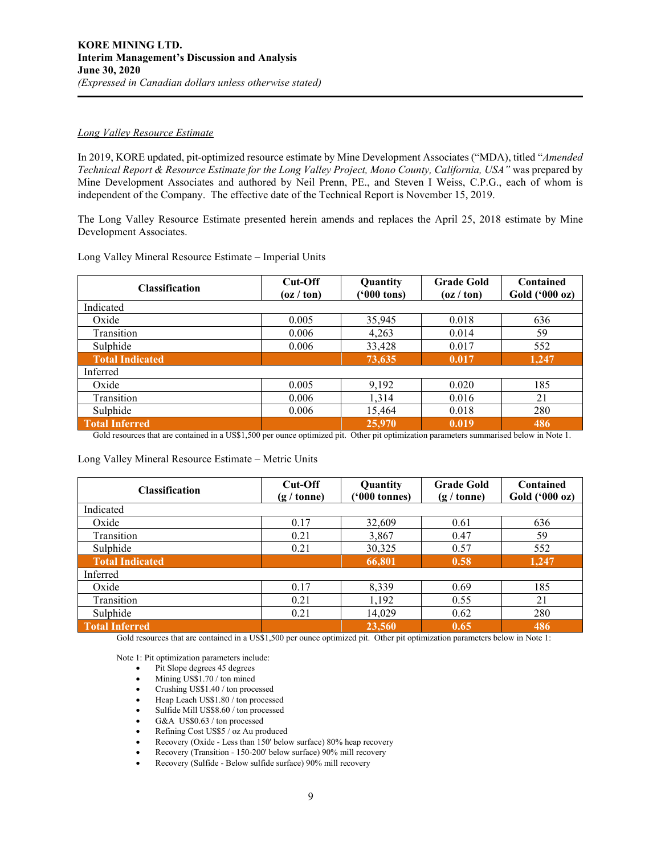## *Long Valley Resource Estimate*

In 2019, KORE updated, pit-optimized resource estimate by Mine Development Associates ("MDA), titled "*Amended Technical Report & Resource Estimate for the Long Valley Project, Mono County, California, USA"* was prepared by Mine Development Associates and authored by Neil Prenn, PE., and Steven I Weiss, C.P.G., each of whom is independent of the Company. The effective date of the Technical Report is November 15, 2019.

The Long Valley Resource Estimate presented herein amends and replaces the April 25, 2018 estimate by Mine Development Associates.

| Long Valley Mineral Resource Estimate - Imperial Units |
|--------------------------------------------------------|
|--------------------------------------------------------|

| <b>Classification</b>  | $Cut$ -Off<br>$\left( \frac{\alpha}{\alpha} \right)$ ton) | Quantity<br>$(900 \text{ tons})$ | <b>Grade Gold</b><br>$\left( \frac{\alpha}{\alpha} \right)$ ton) | Contained<br>Gold ('000 oz) |
|------------------------|-----------------------------------------------------------|----------------------------------|------------------------------------------------------------------|-----------------------------|
| Indicated              |                                                           |                                  |                                                                  |                             |
| Oxide                  | 0.005                                                     | 35,945                           | 0.018                                                            | 636                         |
| Transition             | 0.006                                                     | 4,263                            | 0.014                                                            | 59                          |
| Sulphide               | 0.006                                                     | 33,428                           | 0.017                                                            | 552                         |
| <b>Total Indicated</b> |                                                           | 73,635                           | 0.017                                                            | 1,247                       |
| Inferred               |                                                           |                                  |                                                                  |                             |
| Oxide                  | 0.005                                                     | 9,192                            | 0.020                                                            | 185                         |
| Transition             | 0.006                                                     | 1,314                            | 0.016                                                            | 21                          |
| Sulphide               | 0.006                                                     | 15,464                           | 0.018                                                            | 280                         |
| <b>Total Inferred</b>  |                                                           | 25,970                           | 0.019                                                            | 486                         |

Gold resources that are contained in a US\$1,500 per ounce optimized pit. Other pit optimization parameters summarised below in Note 1.

#### Long Valley Mineral Resource Estimate – Metric Units

| <b>Classification</b>  | Cut-Off<br>$(g / \text{tonne})$ | Quantity<br>$(900 \text{ tonnes})$ | <b>Grade Gold</b><br>$(g / \text{tonne})$ | Contained<br>Gold ('000 oz) |
|------------------------|---------------------------------|------------------------------------|-------------------------------------------|-----------------------------|
| Indicated              |                                 |                                    |                                           |                             |
| Oxide                  | 0.17                            | 32,609                             | 0.61                                      | 636                         |
| Transition             | 0.21                            | 3,867                              | 0.47                                      | 59                          |
| Sulphide               | 0.21                            | 30,325                             | 0.57                                      | 552                         |
| <b>Total Indicated</b> |                                 | 66,801                             | 0.58                                      | 1,247                       |
| Inferred               |                                 |                                    |                                           |                             |
| Oxide                  | 0.17                            | 8,339                              | 0.69                                      | 185                         |
| Transition             | 0.21                            | 1,192                              | 0.55                                      | 21                          |
| Sulphide               | 0.21                            | 14,029                             | 0.62                                      | 280                         |
| Total Inferred         |                                 | 23,560                             | 0.65                                      | 486                         |

Gold resources that are contained in a US\$1,500 per ounce optimized pit. Other pit optimization parameters below in Note 1:

Note 1: Pit optimization parameters include:

- Pit Slope degrees 45 degrees
- Mining US\$1.70 / ton mined
- Crushing US\$1.40 / ton processed
- Heap Leach US\$1.80 / ton processed
- Sulfide Mill US\$8.60 / ton processed
- G&A US\$0.63 / ton processed
- Refining Cost US\$5 / oz Au produced
- Recovery (Oxide Less than 150' below surface) 80% heap recovery
- Recovery (Transition 150-200' below surface) 90% mill recovery
- Recovery (Sulfide Below sulfide surface) 90% mill recovery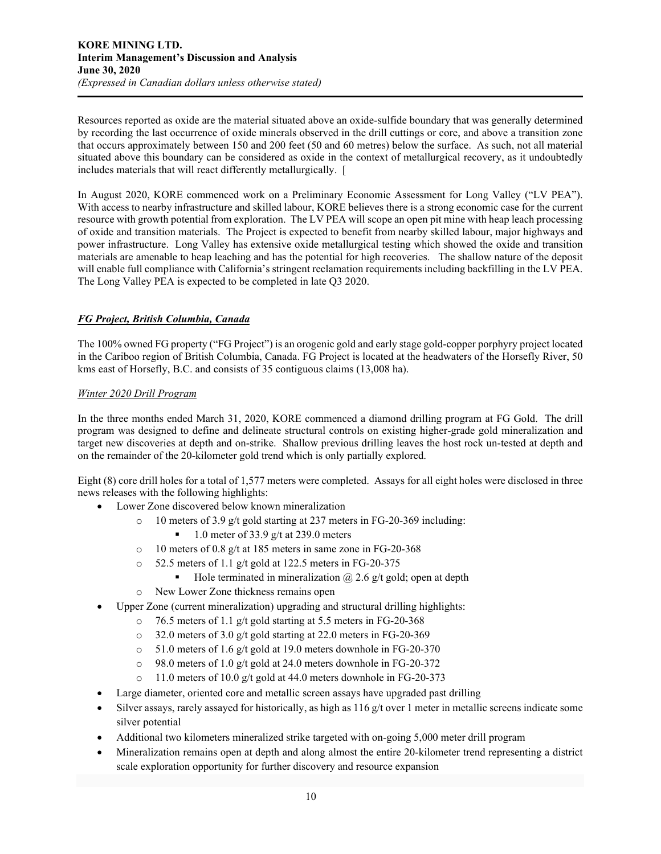Resources reported as oxide are the material situated above an oxide-sulfide boundary that was generally determined by recording the last occurrence of oxide minerals observed in the drill cuttings or core, and above a transition zone that occurs approximately between 150 and 200 feet (50 and 60 metres) below the surface. As such, not all material situated above this boundary can be considered as oxide in the context of metallurgical recovery, as it undoubtedly includes materials that will react differently metallurgically. [

In August 2020, KORE commenced work on a Preliminary Economic Assessment for Long Valley ("LV PEA"). With access to nearby infrastructure and skilled labour, KORE believes there is a strong economic case for the current resource with growth potential from exploration. The LV PEA will scope an open pit mine with heap leach processing of oxide and transition materials. The Project is expected to benefit from nearby skilled labour, major highways and power infrastructure. Long Valley has extensive oxide metallurgical testing which showed the oxide and transition materials are amenable to heap leaching and has the potential for high recoveries. The shallow nature of the deposit will enable full compliance with California's stringent reclamation requirements including backfilling in the LV PEA. The Long Valley PEA is expected to be completed in late Q3 2020.

# *FG Project, British Columbia, Canada*

The 100% owned FG property ("FG Project") is an orogenic gold and early stage gold-copper porphyry project located in the Cariboo region of British Columbia, Canada. FG Project is located at the headwaters of the Horsefly River, 50 kms east of Horsefly, B.C. and consists of 35 contiguous claims (13,008 ha).

# *Winter 2020 Drill Program*

In the three months ended March 31, 2020, KORE commenced a diamond drilling program at FG Gold. The drill program was designed to define and delineate structural controls on existing higher-grade gold mineralization and target new discoveries at depth and on-strike. Shallow previous drilling leaves the host rock un-tested at depth and on the remainder of the 20-kilometer gold trend which is only partially explored.

Eight (8) core drill holes for a total of 1,577 meters were completed. Assays for all eight holes were disclosed in three news releases with the following highlights:

- Lower Zone discovered below known mineralization
	- o 10 meters of 3.9 g/t gold starting at 237 meters in FG-20-369 including:
		- 1.0 meter of 33.9 g/t at 239.0 meters
	- o 10 meters of 0.8 g/t at 185 meters in same zone in FG-20-368
	- o 52.5 meters of 1.1 g/t gold at 122.5 meters in FG-20-375
		- Hole terminated in mineralization  $\omega$  2.6 g/t gold; open at depth
	- o New Lower Zone thickness remains open
- Upper Zone (current mineralization) upgrading and structural drilling highlights:
	- o 76.5 meters of 1.1 g/t gold starting at 5.5 meters in FG-20-368
	- o 32.0 meters of 3.0 g/t gold starting at 22.0 meters in FG-20-369
	- o 51.0 meters of 1.6 g/t gold at 19.0 meters downhole in FG-20-370
	- o 98.0 meters of 1.0 g/t gold at 24.0 meters downhole in FG-20-372
	- o 11.0 meters of 10.0 g/t gold at 44.0 meters downhole in FG-20-373
- Large diameter, oriented core and metallic screen assays have upgraded past drilling
- Silver assays, rarely assayed for historically, as high as  $116 \frac{g}{t}$  over 1 meter in metallic screens indicate some silver potential
- Additional two kilometers mineralized strike targeted with on-going 5,000 meter drill program
- Mineralization remains open at depth and along almost the entire 20-kilometer trend representing a district scale exploration opportunity for further discovery and resource expansion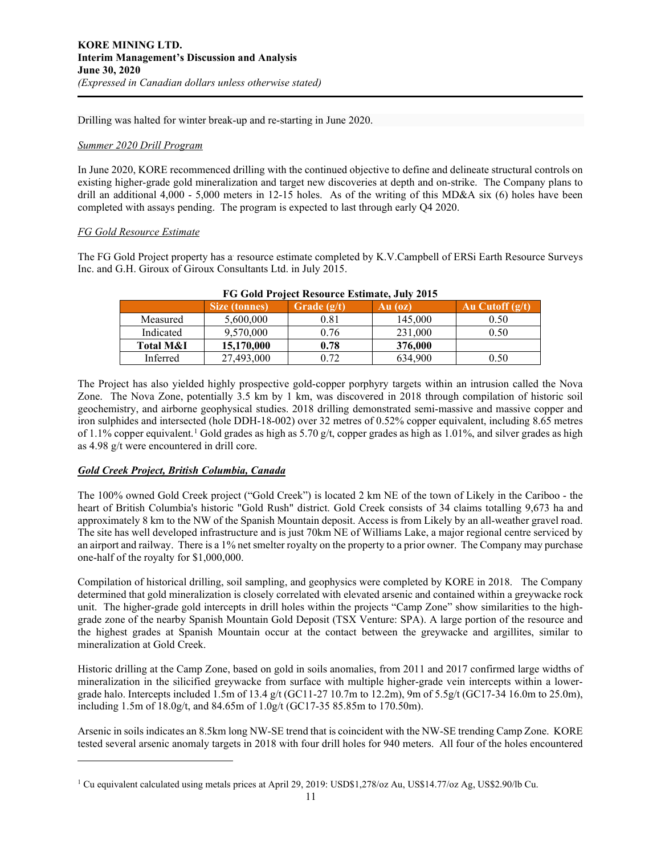Drilling was halted for winter break-up and re-starting in June 2020.

# *Summer 2020 Drill Program*

In June 2020, KORE recommenced drilling with the continued objective to define and delineate structural controls on existing higher-grade gold mineralization and target new discoveries at depth and on-strike. The Company plans to drill an additional 4,000 - 5,000 meters in 12-15 holes. As of the writing of this MD&A six (6) holes have been completed with assays pending. The program is expected to last through early Q4 2020.

## *FG Gold Resource Estimate*

The FG Gold Project property has a resource estimate completed by K.V.Campbell of ERSi Earth Resource Surveys Inc. and G.H. Giroux of Giroux Consultants Ltd. in July 2015.

|                      | <b>Size (tonnes)</b> | Grade $(g/t)$ | Au (oz) | Au Cutoff $(g/t)$ |
|----------------------|----------------------|---------------|---------|-------------------|
| Measured             | 5,600,000            | 0.81          | 145,000 | 0.50              |
| Indicated            | 9,570,000            | 0.76          | 231,000 | 0.50              |
| <b>Total M&amp;I</b> | 15,170,000           | 0.78          | 376,000 |                   |
| Inferred             | 27,493,000           | 0.72          | 634,900 | 0.50              |

|  | FG Gold Project Resource Estimate, July 2015 |  |
|--|----------------------------------------------|--|
|  |                                              |  |

The Project has also yielded highly prospective gold-copper porphyry targets within an intrusion called the Nova Zone. The Nova Zone, potentially 3.5 km by 1 km, was discovered in 2018 through compilation of historic soil geochemistry, and airborne geophysical studies. 2018 drilling demonstrated semi-massive and massive copper and iron sulphides and intersected (hole DDH-18-002) over 32 metres of 0.52% copper equivalent, including 8.65 metres of [1](#page-10-0).1% copper equivalent.<sup>1</sup> Gold grades as high as 5.70 g/t, copper grades as high as 1.01%, and silver grades as high as 4.98 g/t were encountered in drill core.

# *Gold Creek Project, British Columbia, Canada*

The 100% owned Gold Creek project ("Gold Creek") is located 2 km NE of the town of Likely in the Cariboo - the heart of British Columbia's historic "Gold Rush" district. Gold Creek consists of 34 claims totalling 9,673 ha and approximately 8 km to the NW of the Spanish Mountain deposit. Access is from Likely by an all-weather gravel road. The site has well developed infrastructure and is just 70km NE of Williams Lake, a major regional centre serviced by an airport and railway. There is a 1% net smelter royalty on the property to a prior owner. The Company may purchase one-half of the royalty for \$1,000,000.

Compilation of historical drilling, soil sampling, and geophysics were completed by KORE in 2018. The Company determined that gold mineralization is closely correlated with elevated arsenic and contained within a greywacke rock unit. The higher-grade gold intercepts in drill holes within the projects "Camp Zone" show similarities to the highgrade zone of the nearby Spanish Mountain Gold Deposit (TSX Venture: SPA). A large portion of the resource and the highest grades at Spanish Mountain occur at the contact between the greywacke and argillites, similar to mineralization at Gold Creek.

Historic drilling at the Camp Zone, based on gold in soils anomalies, from 2011 and 2017 confirmed large widths of mineralization in the silicified greywacke from surface with multiple higher-grade vein intercepts within a lowergrade halo. Intercepts included 1.5m of 13.4 g/t (GC11-27 10.7m to 12.2m), 9m of 5.5g/t (GC17-34 16.0m to 25.0m), including 1.5m of 18.0g/t, and 84.65m of 1.0g/t (GC17-35 85.85m to 170.50m).

Arsenic in soils indicates an 8.5km long NW-SE trend that is coincident with the NW-SE trending Camp Zone. KORE tested several arsenic anomaly targets in 2018 with four drill holes for 940 meters. All four of the holes encountered

<span id="page-10-0"></span><sup>1</sup> Cu equivalent calculated using metals prices at April 29, 2019: USD\$1,278/oz Au, US\$14.77/oz Ag, US\$2.90/lb Cu.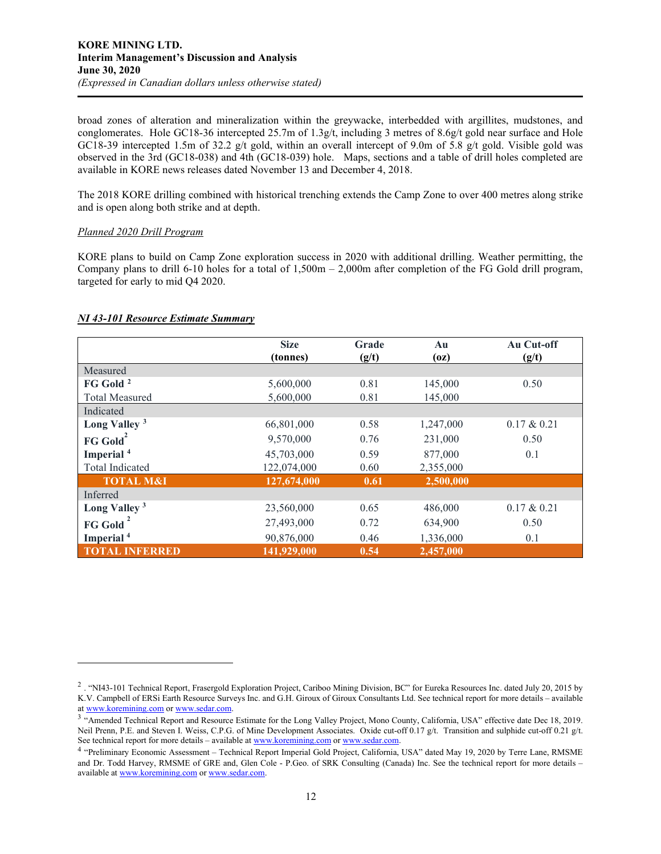broad zones of alteration and mineralization within the greywacke, interbedded with argillites, mudstones, and conglomerates. Hole GC18-36 intercepted 25.7m of 1.3g/t, including 3 metres of 8.6g/t gold near surface and Hole GC18-39 intercepted 1.5m of 32.2 g/t gold, within an overall intercept of 9.0m of 5.8 g/t gold. Visible gold was observed in the 3rd (GC18-038) and 4th (GC18-039) hole. Maps, sections and a table of drill holes completed are available in KORE news releases dated November 13 and December 4, 2018.

The 2018 KORE drilling combined with historical trenching extends the Camp Zone to over 400 metres along strike and is open along both strike and at depth.

## *Planned 2020 Drill Program*

KORE plans to build on Camp Zone exploration success in 2020 with additional drilling. Weather permitting, the Company plans to drill 6-10 holes for a total of  $1,500m - 2,000m$  after completion of the FG Gold drill program, targeted for early to mid Q4 2020.

# *NI 43-101 Resource Estimate Summary*

|                          | <b>Size</b><br>(tonnes) | Grade<br>(g/t) | Au<br>(oz) | Au Cut-off<br>(g/t) |
|--------------------------|-------------------------|----------------|------------|---------------------|
| Measured                 |                         |                |            |                     |
| FG Gold <sup>2</sup>     | 5,600,000               | 0.81           | 145,000    | 0.50                |
| <b>Total Measured</b>    | 5,600,000               | 0.81           | 145,000    |                     |
| Indicated                |                         |                |            |                     |
| Long Valley <sup>3</sup> | 66,801,000              | 0.58           | 1,247,000  | $0.17 \& 0.21$      |
| FG Gold <sup>2</sup>     | 9,570,000               | 0.76           | 231,000    | 0.50                |
| Imperial <sup>4</sup>    | 45,703,000              | 0.59           | 877,000    | 0.1                 |
| Total Indicated          | 122,074,000             | 0.60           | 2,355,000  |                     |
| <b>TOTAL M&amp;I</b>     | 127,674,000             | 0.61           | 2,500,000  |                     |
| Inferred                 |                         |                |            |                     |
| Long Valley <sup>3</sup> | 23,560,000              | 0.65           | 486,000    | $0.17 \& 0.21$      |
| <b>FG Gold</b>           | 27,493,000              | 0.72           | 634,900    | 0.50                |
| Imperial <sup>4</sup>    | 90,876,000              | 0.46           | 1,336,000  | 0.1                 |
| <b>TOTAL INFERRED</b>    | 141,929,000             | 0.54           | 2,457,000  |                     |

<span id="page-11-0"></span><sup>2</sup> . "NI43-101 Technical Report, Frasergold Exploration Project, Cariboo Mining Division, BC" for Eureka Resources Inc. dated July 20, 2015 by K.V. Campbell of ERSi Earth Resource Surveys Inc. and G.H. Giroux of Giroux Consultants Ltd. See technical report for more details – available

<span id="page-11-1"></span>at www.k[o](http://www.koremining.com/)remining.com or www.sedar.com.<br><sup>3</sup> "Amended Technical Report and Resource Estimate for the Long Valley Project, Mono County, California, USA" effective date Dec 18, 2019. Neil Prenn, P.E. and Steven I. Weiss, C.P.G. of Mine Development Associates. Oxide cut-off 0.17 g/t. Transition and sulphide cut-off 0.21 g/t. See technical report for more details – available at [www.koremining.com](http://www.koremining.com/) o[r www.sedar.com.](http://www.sedar.com/)

<span id="page-11-2"></span><sup>4</sup> "Preliminary Economic Assessment – Technical Report Imperial Gold Project, California, USA" dated May 19, 2020 by Terre Lane, RMSME and Dr. Todd Harvey, RMSME of GRE and, Glen Cole - P.Geo. of SRK Consulting (Canada) Inc. See the technical report for more details – available a[t www.koremining.com](http://www.koremining.com/) o[r www.sedar.com.](http://www.sedar.com/)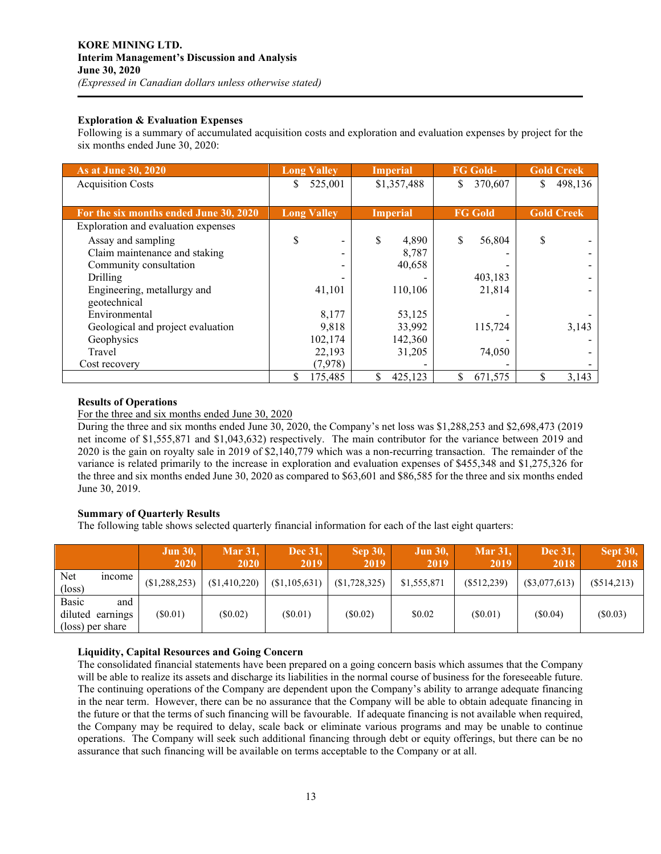## **Exploration & Evaluation Expenses**

Following is a summary of accumulated acquisition costs and exploration and evaluation expenses by project for the six months ended June 30, 2020:

| As at June 30, 2020                    | <b>Long Valley</b> | <b>Imperial</b> | <b>FG Gold-</b> | <b>Gold Creek</b> |
|----------------------------------------|--------------------|-----------------|-----------------|-------------------|
| <b>Acquisition Costs</b>               | \$<br>525,001      | \$1,357,488     | \$<br>370,607   | 498,136           |
|                                        |                    |                 |                 |                   |
| For the six months ended June 30, 2020 | <b>Long Valley</b> | <b>Imperial</b> | <b>FG Gold</b>  | <b>Gold Creek</b> |
| Exploration and evaluation expenses    |                    |                 |                 |                   |
| Assay and sampling                     | \$                 | \$<br>4,890     | S<br>56,804     |                   |
| Claim maintenance and staking          |                    | 8,787           |                 |                   |
| Community consultation                 |                    | 40,658          |                 |                   |
| Drilling                               |                    |                 | 403,183         |                   |
| Engineering, metallurgy and            | 41,101             | 110,106         | 21,814          |                   |
| geotechnical                           |                    |                 |                 |                   |
| Environmental                          | 8,177              | 53,125          |                 |                   |
| Geological and project evaluation      | 9,818              | 33,992          | 115,724         | 3,143             |
| Geophysics                             | 102,174            | 142,360         |                 |                   |
| Travel                                 | 22,193             | 31,205          | 74,050          |                   |
| Cost recovery                          | (7,978)            |                 |                 |                   |
|                                        | \$<br>175,485      | 425,123         | 671,575         | 3,143             |

## **Results of Operations**

For the three and six months ended June 30, 2020

During the three and six months ended June 30, 2020, the Company's net loss was \$1,288,253 and \$2,698,473 (2019 net income of \$1,555,871 and \$1,043,632) respectively. The main contributor for the variance between 2019 and 2020 is the gain on royalty sale in 2019 of \$2,140,779 which was a non-recurring transaction. The remainder of the variance is related primarily to the increase in exploration and evaluation expenses of \$455,348 and \$1,275,326 for the three and six months ended June 30, 2020 as compared to \$63,601 and \$86,585 for the three and six months ended June 30, 2019.

# **Summary of Quarterly Results**

The following table shows selected quarterly financial information for each of the last eight quarters:

|                         |                                             | <b>Jun 30,</b><br>2020 | <b>Mar 31,</b><br>2020 | Dec 31.<br>2019 | <b>Sep 30,</b><br>2019 | <b>Jun 30,</b><br>2019 | <b>Mar 31,</b><br>2019 | Dec 31.<br>2018 | <b>Sept 30,</b><br>2018 |
|-------------------------|---------------------------------------------|------------------------|------------------------|-----------------|------------------------|------------------------|------------------------|-----------------|-------------------------|
| Net.<br>$(\text{loss})$ | mcome                                       | (\$1,288,253)          | (\$1,410,220)          | (\$1,105,631)   | (\$1,728,325)          | \$1,555,871            | $(\$512,239)$          | $(\$3,077,613)$ | $(\$514,213)$           |
| <b>Basic</b>            | and<br>diluted earnings<br>(loss) per share | (S0.01)                | $(\$0.02)$             | (S0.01)         | (S0.02)                | \$0.02                 | (S0.01)                | (S0.04)         | (\$0.03)                |

#### **Liquidity, Capital Resources and Going Concern**

The consolidated financial statements have been prepared on a going concern basis which assumes that the Company will be able to realize its assets and discharge its liabilities in the normal course of business for the foreseeable future. The continuing operations of the Company are dependent upon the Company's ability to arrange adequate financing in the near term. However, there can be no assurance that the Company will be able to obtain adequate financing in the future or that the terms of such financing will be favourable. If adequate financing is not available when required, the Company may be required to delay, scale back or eliminate various programs and may be unable to continue operations. The Company will seek such additional financing through debt or equity offerings, but there can be no assurance that such financing will be available on terms acceptable to the Company or at all.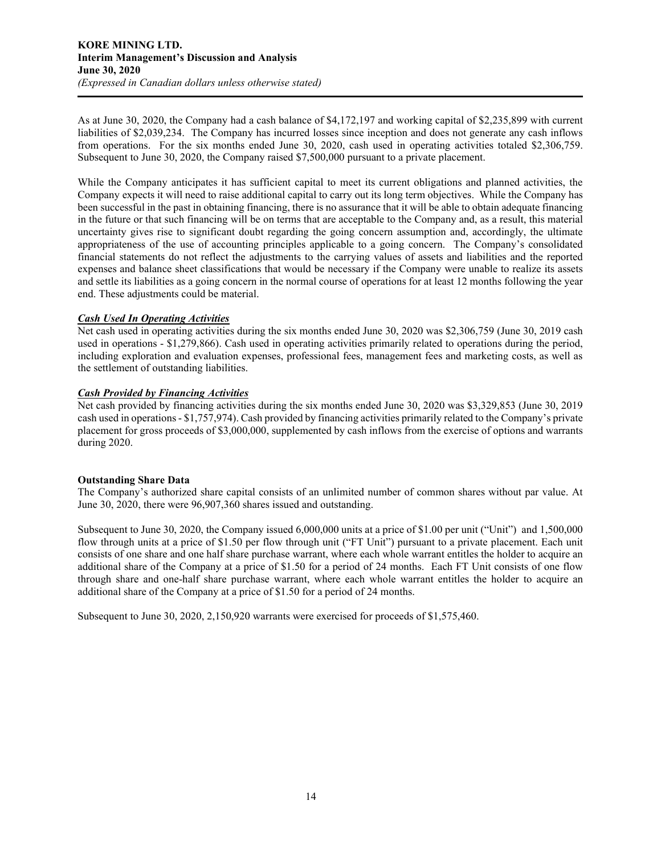As at June 30, 2020, the Company had a cash balance of \$4,172,197 and working capital of \$2,235,899 with current liabilities of \$2,039,234. The Company has incurred losses since inception and does not generate any cash inflows from operations. For the six months ended June 30, 2020, cash used in operating activities totaled \$2,306,759. Subsequent to June 30, 2020, the Company raised \$7,500,000 pursuant to a private placement.

While the Company anticipates it has sufficient capital to meet its current obligations and planned activities, the Company expects it will need to raise additional capital to carry out its long term objectives. While the Company has been successful in the past in obtaining financing, there is no assurance that it will be able to obtain adequate financing in the future or that such financing will be on terms that are acceptable to the Company and, as a result, this material uncertainty gives rise to significant doubt regarding the going concern assumption and, accordingly, the ultimate appropriateness of the use of accounting principles applicable to a going concern. The Company's consolidated financial statements do not reflect the adjustments to the carrying values of assets and liabilities and the reported expenses and balance sheet classifications that would be necessary if the Company were unable to realize its assets and settle its liabilities as a going concern in the normal course of operations for at least 12 months following the year end. These adjustments could be material.

# *Cash Used In Operating Activities*

Net cash used in operating activities during the six months ended June 30, 2020 was \$2,306,759 (June 30, 2019 cash used in operations - \$1,279,866). Cash used in operating activities primarily related to operations during the period, including exploration and evaluation expenses, professional fees, management fees and marketing costs, as well as the settlement of outstanding liabilities.

## *Cash Provided by Financing Activities*

Net cash provided by financing activities during the six months ended June 30, 2020 was \$3,329,853 (June 30, 2019 cash used in operations - \$1,757,974). Cash provided by financing activities primarily related to the Company's private placement for gross proceeds of \$3,000,000, supplemented by cash inflows from the exercise of options and warrants during 2020.

#### **Outstanding Share Data**

The Company's authorized share capital consists of an unlimited number of common shares without par value. At June 30, 2020, there were 96,907,360 shares issued and outstanding.

Subsequent to June 30, 2020, the Company issued 6,000,000 units at a price of \$1.00 per unit ("Unit") and 1,500,000 flow through units at a price of \$1.50 per flow through unit ("FT Unit") pursuant to a private placement. Each unit consists of one share and one half share purchase warrant, where each whole warrant entitles the holder to acquire an additional share of the Company at a price of \$1.50 for a period of 24 months. Each FT Unit consists of one flow through share and one-half share purchase warrant, where each whole warrant entitles the holder to acquire an additional share of the Company at a price of \$1.50 for a period of 24 months.

Subsequent to June 30, 2020, 2,150,920 warrants were exercised for proceeds of \$1,575,460.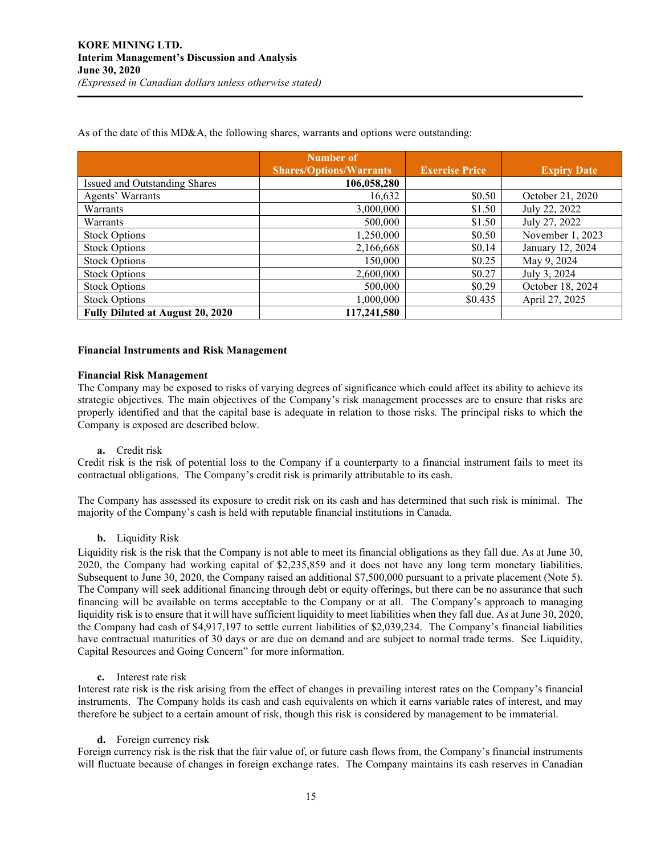As of the date of this MD&A, the following shares, warrants and options were outstanding:

|                                  | <b>Number of</b>               |                       |                    |
|----------------------------------|--------------------------------|-----------------------|--------------------|
|                                  | <b>Shares/Options/Warrants</b> | <b>Exercise Price</b> | <b>Expiry Date</b> |
| Issued and Outstanding Shares    | 106,058,280                    |                       |                    |
| Agents' Warrants                 | 16,632                         | \$0.50                | October 21, 2020   |
| Warrants                         | 3,000,000                      | \$1.50                | July 22, 2022      |
| Warrants                         | 500,000                        | \$1.50                | July 27, 2022      |
| <b>Stock Options</b>             | 1,250,000                      | \$0.50                | November 1, 2023   |
| <b>Stock Options</b>             | 2,166,668                      | \$0.14                | January 12, 2024   |
| <b>Stock Options</b>             | 150,000                        | \$0.25                | May 9, 2024        |
| <b>Stock Options</b>             | 2,600,000                      | \$0.27                | July 3, 2024       |
| <b>Stock Options</b>             | 500,000                        | \$0.29                | October 18, 2024   |
| <b>Stock Options</b>             | 1,000,000                      | \$0.435               | April 27, 2025     |
| Fully Diluted at August 20, 2020 | 117,241,580                    |                       |                    |

## **Financial Instruments and Risk Management**

#### **Financial Risk Management**

The Company may be exposed to risks of varying degrees of significance which could affect its ability to achieve its strategic objectives. The main objectives of the Company's risk management processes are to ensure that risks are properly identified and that the capital base is adequate in relation to those risks. The principal risks to which the Company is exposed are described below.

#### **a.** Credit risk

Credit risk is the risk of potential loss to the Company if a counterparty to a financial instrument fails to meet its contractual obligations. The Company's credit risk is primarily attributable to its cash.

The Company has assessed its exposure to credit risk on its cash and has determined that such risk is minimal. The majority of the Company's cash is held with reputable financial institutions in Canada.

#### **b.** Liquidity Risk

Liquidity risk is the risk that the Company is not able to meet its financial obligations as they fall due. As at June 30, 2020, the Company had working capital of \$2,235,859 and it does not have any long term monetary liabilities. Subsequent to June 30, 2020, the Company raised an additional \$7,500,000 pursuant to a private placement (Note 5). The Company will seek additional financing through debt or equity offerings, but there can be no assurance that such financing will be available on terms acceptable to the Company or at all. The Company's approach to managing liquidity risk is to ensure that it will have sufficient liquidity to meet liabilities when they fall due. As at June 30, 2020, the Company had cash of \$4,917,197 to settle current liabilities of \$2,039,234. The Company's financial liabilities have contractual maturities of 30 days or are due on demand and are subject to normal trade terms. See Liquidity, Capital Resources and Going Concern" for more information.

**c.** Interest rate risk

Interest rate risk is the risk arising from the effect of changes in prevailing interest rates on the Company's financial instruments. The Company holds its cash and cash equivalents on which it earns variable rates of interest, and may therefore be subject to a certain amount of risk, though this risk is considered by management to be immaterial.

#### **d.** Foreign currency risk

Foreign currency risk is the risk that the fair value of, or future cash flows from, the Company's financial instruments will fluctuate because of changes in foreign exchange rates. The Company maintains its cash reserves in Canadian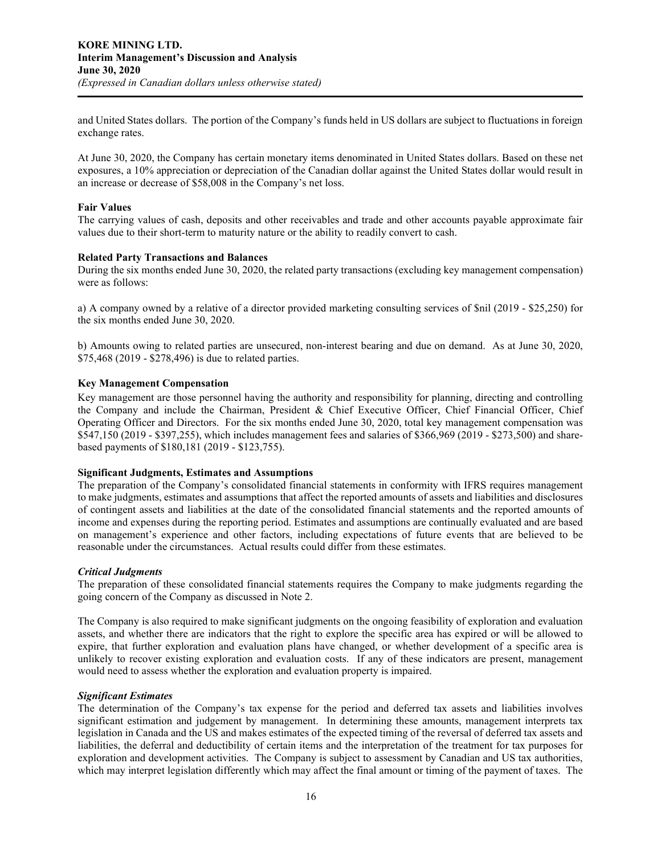and United States dollars. The portion of the Company's funds held in US dollars are subject to fluctuations in foreign exchange rates.

At June 30, 2020, the Company has certain monetary items denominated in United States dollars. Based on these net exposures, a 10% appreciation or depreciation of the Canadian dollar against the United States dollar would result in an increase or decrease of \$58,008 in the Company's net loss.

## **Fair Values**

The carrying values of cash, deposits and other receivables and trade and other accounts payable approximate fair values due to their short-term to maturity nature or the ability to readily convert to cash.

## **Related Party Transactions and Balances**

During the six months ended June 30, 2020, the related party transactions (excluding key management compensation) were as follows:

a) A company owned by a relative of a director provided marketing consulting services of \$nil (2019 - \$25,250) for the six months ended June 30, 2020.

b) Amounts owing to related parties are unsecured, non-interest bearing and due on demand. As at June 30, 2020, \$75,468 (2019 - \$278,496) is due to related parties.

## **Key Management Compensation**

Key management are those personnel having the authority and responsibility for planning, directing and controlling the Company and include the Chairman, President & Chief Executive Officer, Chief Financial Officer, Chief Operating Officer and Directors. For the six months ended June 30, 2020, total key management compensation was \$547,150 (2019 - \$397,255), which includes management fees and salaries of \$366,969 (2019 - \$273,500) and sharebased payments of \$180,181 (2019 - \$123,755).

#### **Significant Judgments, Estimates and Assumptions**

The preparation of the Company's consolidated financial statements in conformity with IFRS requires management to make judgments, estimates and assumptions that affect the reported amounts of assets and liabilities and disclosures of contingent assets and liabilities at the date of the consolidated financial statements and the reported amounts of income and expenses during the reporting period. Estimates and assumptions are continually evaluated and are based on management's experience and other factors, including expectations of future events that are believed to be reasonable under the circumstances. Actual results could differ from these estimates.

#### *Critical Judgments*

The preparation of these consolidated financial statements requires the Company to make judgments regarding the going concern of the Company as discussed in Note 2.

The Company is also required to make significant judgments on the ongoing feasibility of exploration and evaluation assets, and whether there are indicators that the right to explore the specific area has expired or will be allowed to expire, that further exploration and evaluation plans have changed, or whether development of a specific area is unlikely to recover existing exploration and evaluation costs. If any of these indicators are present, management would need to assess whether the exploration and evaluation property is impaired.

#### *Significant Estimates*

The determination of the Company's tax expense for the period and deferred tax assets and liabilities involves significant estimation and judgement by management. In determining these amounts, management interprets tax legislation in Canada and the US and makes estimates of the expected timing of the reversal of deferred tax assets and liabilities, the deferral and deductibility of certain items and the interpretation of the treatment for tax purposes for exploration and development activities. The Company is subject to assessment by Canadian and US tax authorities, which may interpret legislation differently which may affect the final amount or timing of the payment of taxes. The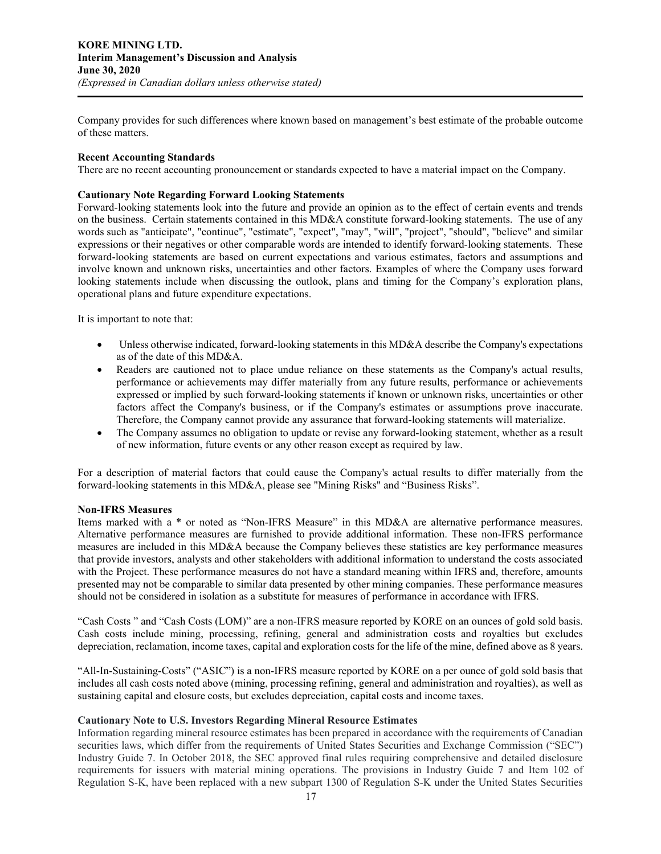Company provides for such differences where known based on management's best estimate of the probable outcome of these matters.

#### **Recent Accounting Standards**

There are no recent accounting pronouncement or standards expected to have a material impact on the Company.

# **Cautionary Note Regarding Forward Looking Statements**

Forward-looking statements look into the future and provide an opinion as to the effect of certain events and trends on the business. Certain statements contained in this MD&A constitute forward-looking statements. The use of any words such as "anticipate", "continue", "estimate", "expect", "may", "will", "project", "should", "believe" and similar expressions or their negatives or other comparable words are intended to identify forward-looking statements. These forward-looking statements are based on current expectations and various estimates, factors and assumptions and involve known and unknown risks, uncertainties and other factors. Examples of where the Company uses forward looking statements include when discussing the outlook, plans and timing for the Company's exploration plans, operational plans and future expenditure expectations.

It is important to note that:

- Unless otherwise indicated, forward-looking statements in this MD&A describe the Company's expectations as of the date of this MD&A.
- Readers are cautioned not to place undue reliance on these statements as the Company's actual results, performance or achievements may differ materially from any future results, performance or achievements expressed or implied by such forward-looking statements if known or unknown risks, uncertainties or other factors affect the Company's business, or if the Company's estimates or assumptions prove inaccurate. Therefore, the Company cannot provide any assurance that forward-looking statements will materialize.
- The Company assumes no obligation to update or revise any forward-looking statement, whether as a result of new information, future events or any other reason except as required by law.

For a description of material factors that could cause the Company's actual results to differ materially from the forward-looking statements in this MD&A, please see "Mining Risks" and "Business Risks".

#### **Non-IFRS Measures**

Items marked with a \* or noted as "Non-IFRS Measure" in this MD&A are alternative performance measures. Alternative performance measures are furnished to provide additional information. These non-IFRS performance measures are included in this MD&A because the Company believes these statistics are key performance measures that provide investors, analysts and other stakeholders with additional information to understand the costs associated with the Project. These performance measures do not have a standard meaning within IFRS and, therefore, amounts presented may not be comparable to similar data presented by other mining companies. These performance measures should not be considered in isolation as a substitute for measures of performance in accordance with IFRS.

"Cash Costs " and "Cash Costs (LOM)" are a non-IFRS measure reported by KORE on an ounces of gold sold basis. Cash costs include mining, processing, refining, general and administration costs and royalties but excludes depreciation, reclamation, income taxes, capital and exploration costs for the life of the mine, defined above as 8 years.

"All-In-Sustaining-Costs" ("ASIC") is a non-IFRS measure reported by KORE on a per ounce of gold sold basis that includes all cash costs noted above (mining, processing refining, general and administration and royalties), as well as sustaining capital and closure costs, but excludes depreciation, capital costs and income taxes.

#### **Cautionary Note to U.S. Investors Regarding Mineral Resource Estimates**

Information regarding mineral resource estimates has been prepared in accordance with the requirements of Canadian securities laws, which differ from the requirements of United States Securities and Exchange Commission ("SEC") Industry Guide 7. In October 2018, the SEC approved final rules requiring comprehensive and detailed disclosure requirements for issuers with material mining operations. The provisions in Industry Guide 7 and Item 102 of Regulation S-K, have been replaced with a new subpart 1300 of Regulation S-K under the United States Securities